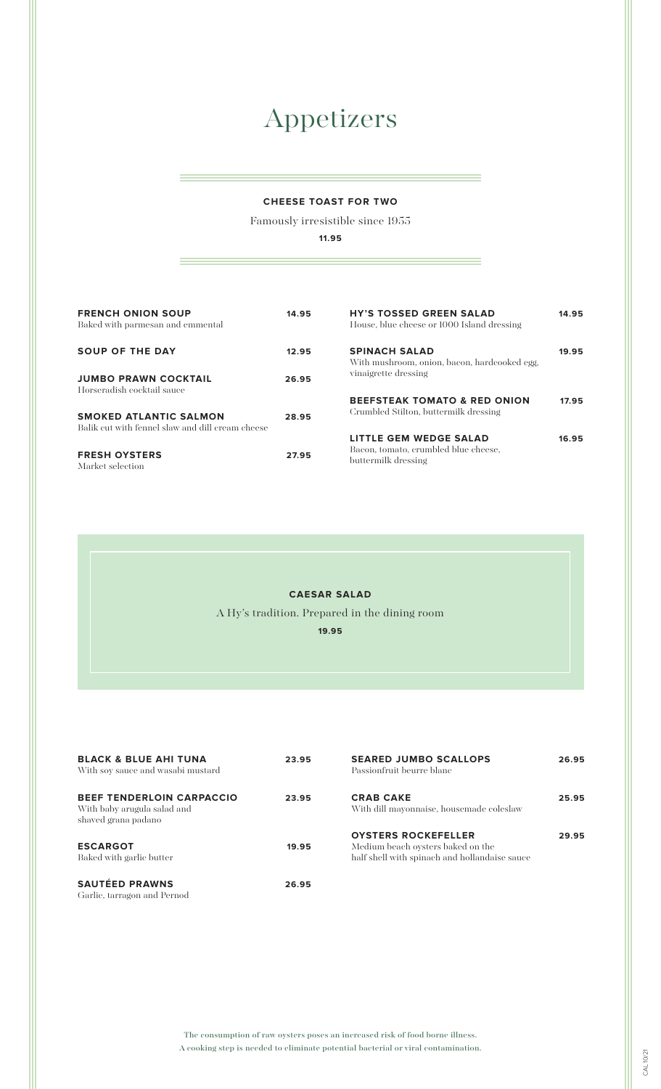# Appetizers

### **CHEESE TOAST FOR TWO**

Famously irresistible since 1955

**11.95**

| <b>FRENCH ONION SOUP</b><br>Baked with parmesan and emmental                      | 14.95 | <b>HY'S TOSSED GREEN SALAD</b><br>House, blue cheese or 1000 Island dressing          | 14.95 |
|-----------------------------------------------------------------------------------|-------|---------------------------------------------------------------------------------------|-------|
| <b>SOUP OF THE DAY</b>                                                            | 12.95 | <b>SPINACH SALAD</b><br>With mushroom, onion, bacon, hardcooked egg,                  | 19.95 |
| <b>JUMBO PRAWN COCKTAIL</b><br>Horseradish cocktail sauce                         | 26.95 | vinaigrette dressing                                                                  |       |
| <b>SMOKED ATLANTIC SALMON</b><br>Balik cut with fennel slaw and dill cream cheese | 28.95 | <b>BEEFSTEAK TOMATO &amp; RED ONION</b><br>Crumbled Stilton, buttermilk dressing      | 17.95 |
| <b>FRESH OYSTERS</b><br>Market selection                                          | 27.95 | LITTLE GEM WEDGE SALAD<br>Bacon, tomato, crumbled blue cheese,<br>buttermilk dressing | 16.95 |

#### **CAESAR SALAD**

A Hy's tradition. Prepared in the dining room

**19.95**

| <b>BLACK &amp; BLUE AHI TUNA</b><br>With soy sauce and wasabi mustard                  | 23.95 | <b>SEARED JUMBO SCALLOPS</b><br>Passionfruit beurre blanc                                                        | 26.95 |
|----------------------------------------------------------------------------------------|-------|------------------------------------------------------------------------------------------------------------------|-------|
| <b>BEEF TENDERLOIN CARPACCIO</b><br>With baby arugula salad and<br>shaved grana padano | 23.95 | <b>CRAB CAKE</b><br>With dill mayonnaise, housemade coleslaw                                                     | 25.95 |
| <b>ESCARGOT</b><br>Baked with garlic butter                                            | 19.95 | <b>OYSTERS ROCKEFELLER</b><br>Medium beach oysters baked on the<br>half shell with spinach and hollandaise sauce | 29.95 |
| <b>SAUTÉED PRAWNS</b><br>Garlic, tarragon and Pernod                                   | 26.95 |                                                                                                                  |       |

The consumption of raw oysters poses an increased risk of food borne illness. A cooking step is needed to eliminate potential bacterial or viral contamination.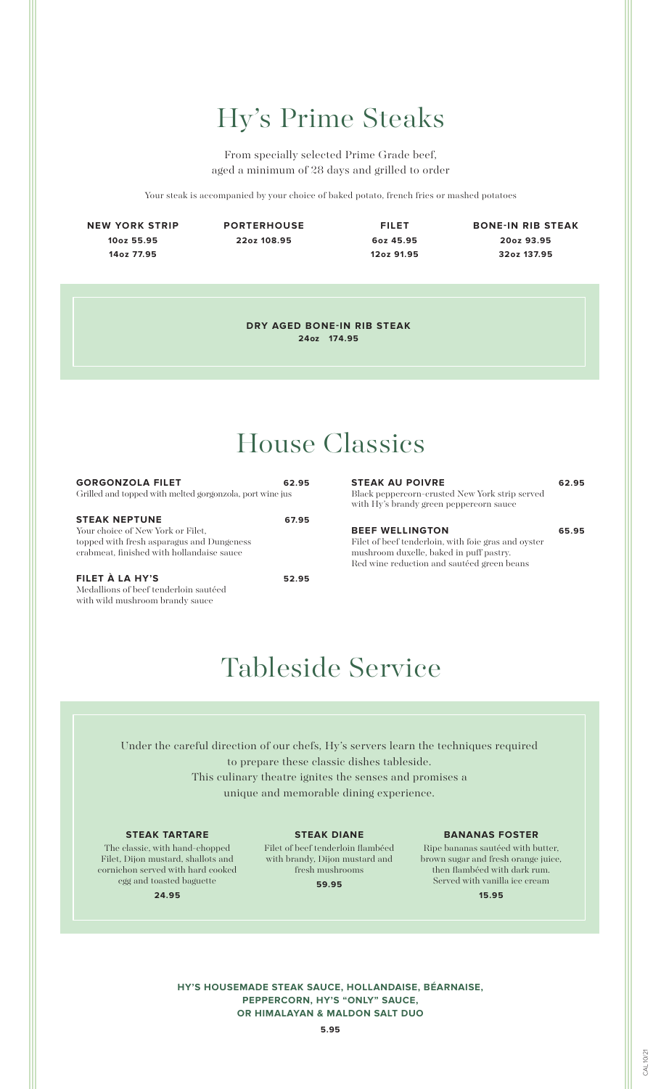# Hy's Prime Steaks

From specially selected Prime Grade beef, aged a minimum of 28 days and grilled to order

Your steak is accompanied by your choice of baked potato, french fries or mashed potatoes

**NEW YORK STRIP 10oz 55.95 14oz 77.95**

**PORTERHOUSE 22oz 108.95**

**FILET 6oz 45.95 12oz 91.95**

**BONE-IN RIB STEAK 20oz 93.95 32oz 137.95**

**DRY AGED BONE-IN RIB STEAK 24oz 174.95**

## House Classics

| <b>GORGONZOLA FILET</b>                                  | 62.95 |
|----------------------------------------------------------|-------|
| Grilled and topped with melted gorgonzola, port wine jus |       |
|                                                          |       |
| <b>STEAK NEPTUNE</b>                                     | 67.95 |
| Your choice of New York or Filet.                        |       |
| topped with fresh asparagus and Dungeness                |       |
| crabmeat, finished with hollandaise sauce                |       |
|                                                          |       |

**FILET À LA HY'S 52.95** Medallions of beef tenderloin sautéed with wild mushroom brandy sauce

### **STEAK AU POIVRE 62.95** Black peppercorn-crusted New York strip served with Hy's brandy green peppercorn sauce **BEEF WELLINGTON 65.95**

Filet of beef tenderloin, with foie gras and oyster mushroom duxelle, baked in puff pastry. Red wine reduction and sautéed green beans

### Tableside Service

Under the careful direction of our chefs, Hy's servers learn the techniques required to prepare these classic dishes tableside. This culinary theatre ignites the senses and promises a unique and memorable dining experience.

#### **STEAK TARTARE**

The classic, with hand-chopped Filet, Dijon mustard, shallots and cornichon served with hard cooked egg and toasted baguette

**24.95**

**STEAK DIANE**

Filet of beef tenderloin flambéed with brandy, Dijon mustard and fresh mushrooms

**59.95**

#### **BANANAS FOSTER**

Ripe bananas sautéed with butter, brown sugar and fresh orange juice, then flambéed with dark rum. Served with vanilla ice cream

**15.95**

**HY'S HOUSEMADE STEAK SAUCE, HOLLANDAISE, BÉARNAISE, PEPPERCORN, HY'S "ONLY" SAUCE, OR HIMALAYAN & MALDON SALT DUO**